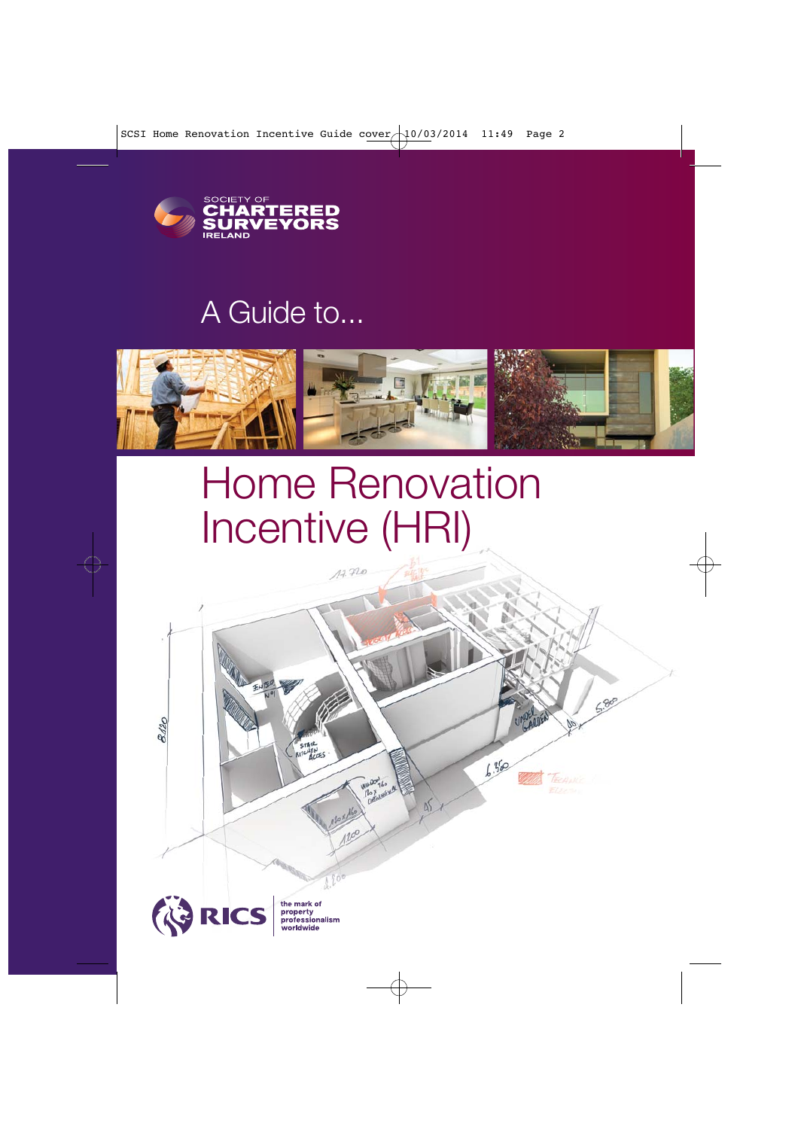

# A Guide to...



# Home Renovation Incentive (HRI)

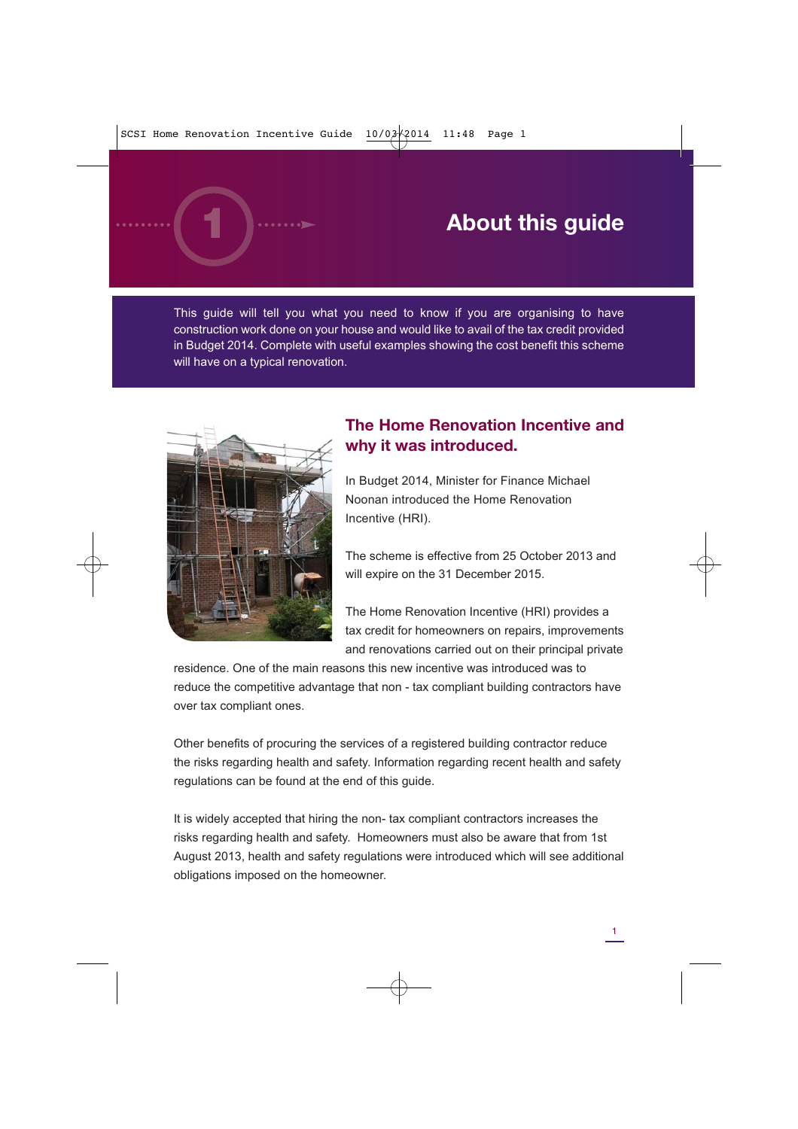# **About this guide**

This guide will tell you what you need to know if you are organising to have construction work done on your house and would like to avail of the tax credit provided in Budget 2014. Complete with useful examples showing the cost benefit this scheme will have on a typical renovation.



## **The Home Renovation Incentive and why it was introduced.**

In Budget 2014, Minister for Finance Michael Noonan introduced the Home Renovation Incentive (HRI).

The scheme is effective from 25 October 2013 and will expire on the 31 December 2015.

The Home Renovation Incentive (HRI) provides a tax credit for homeowners on repairs, improvements and renovations carried out on their principal private

residence. One of the main reasons this new incentive was introduced was to reduce the competitive advantage that non - tax compliant building contractors have over tax compliant ones.

Other benefits of procuring the services of a registered building contractor reduce the risks regarding health and safety. Information regarding recent health and safety regulations can be found at the end of this guide.

It is widely accepted that hiring the non- tax compliant contractors increases the risks regarding health and safety. Homeowners must also be aware that from 1st August 2013, health and safety regulations were introduced which will see additional obligations imposed on the homeowner.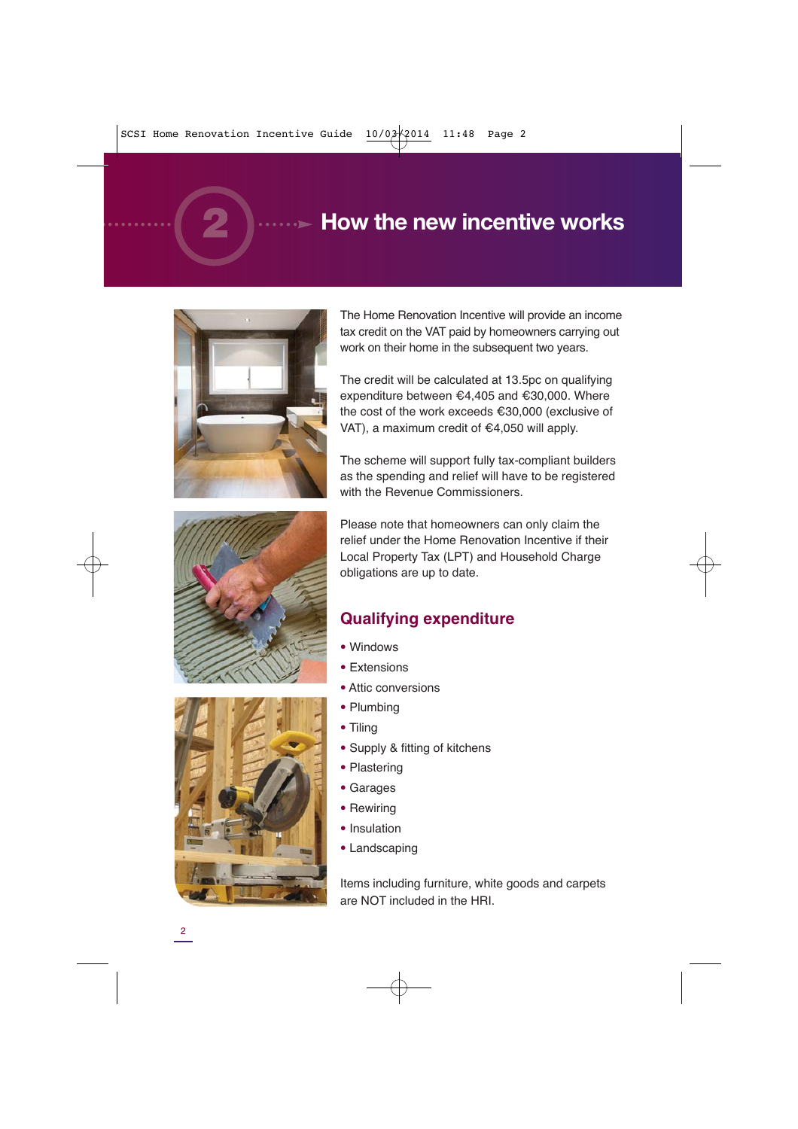# **How the new incentive works**



**SCSI –** Home Renovation Incentive (HRI) Guide



The Home Renovation Incentive will provide an income tax credit on the VAT paid by homeowners carrying out work on their home in the subsequent two years.

The credit will be calculated at 13.5pc on qualifying expenditure between €4,405 and €30,000. Where the cost of the work exceeds €30,000 (exclusive of VAT), a maximum credit of €4,050 will apply.

The scheme will support fully tax-compliant builders as the spending and relief will have to be registered with the Revenue Commissioners.

Please note that homeowners can only claim the relief under the Home Renovation Incentive if their Local Property Tax (LPT) and Household Charge obligations are up to date.

#### **Qualifying expenditure**

- **•** Windows
- **•** Extensions
- **•** Attic conversions
- **•** Plumbing
- **•** Tiling
- **•** Supply & fitting of kitchens
- **•** Plastering
- **•** Garages
- **•** Rewiring
- **•** Insulation
- **•** Landscaping

Items including furniture, white goods and carpets are NOT included in the HRI.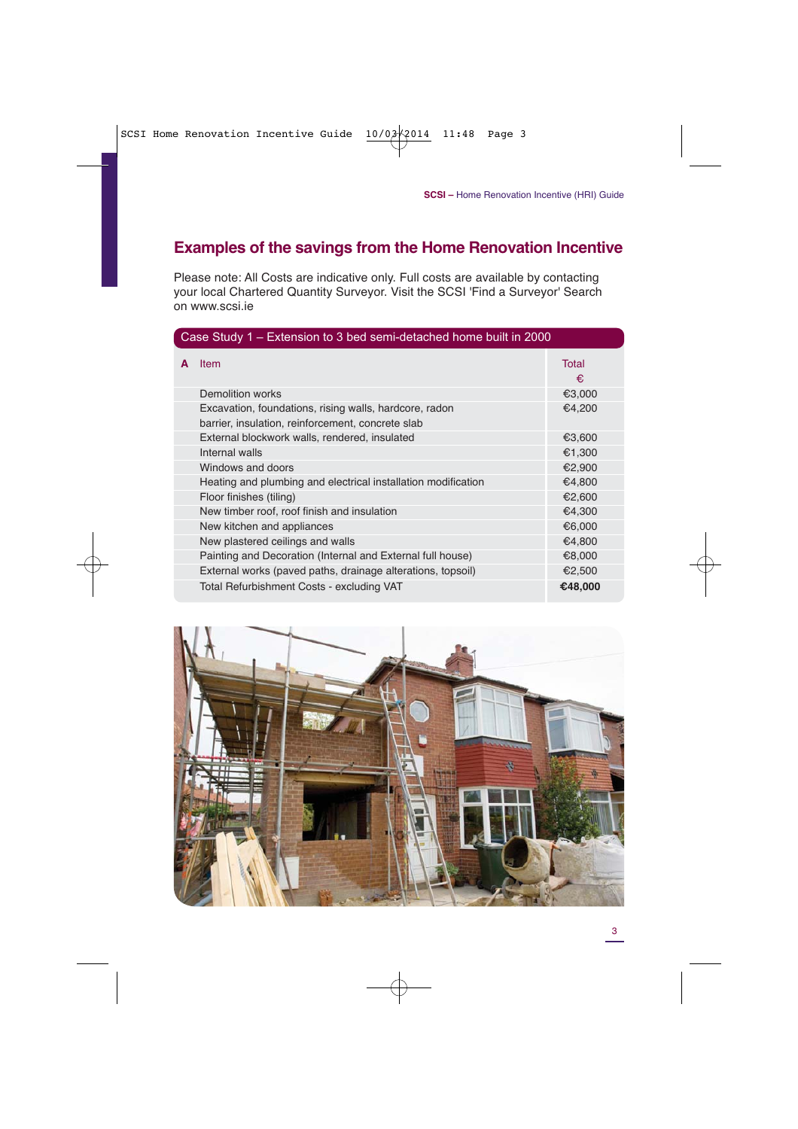#### **Examples of the savings from the Home Renovation Incentive**

Please note: All Costs are indicative only. Full costs are available by contacting your local Chartered Quantity Surveyor. Visit the SCSI 'Find a Surveyor' Search on www.scsi.ie

| Case Study 1 – Extension to 3 bed semi-detached home built in 2000 |                                                               |                   |  |  |
|--------------------------------------------------------------------|---------------------------------------------------------------|-------------------|--|--|
| A                                                                  | <b>Item</b>                                                   | <b>Total</b><br>€ |  |  |
|                                                                    | Demolition works                                              | €3,000            |  |  |
|                                                                    | Excavation, foundations, rising walls, hardcore, radon        | €4,200            |  |  |
|                                                                    | barrier, insulation, reinforcement, concrete slab             |                   |  |  |
|                                                                    | External blockwork walls, rendered, insulated                 | €3,600            |  |  |
|                                                                    | Internal walls                                                | €1,300            |  |  |
|                                                                    | Windows and doors                                             | €2,900            |  |  |
|                                                                    | Heating and plumbing and electrical installation modification | €4,800            |  |  |
|                                                                    | Floor finishes (tiling)                                       | €2,600            |  |  |
|                                                                    | New timber roof, roof finish and insulation                   | €4,300            |  |  |
|                                                                    | New kitchen and appliances                                    | €6,000            |  |  |
|                                                                    | New plastered ceilings and walls                              | €4,800            |  |  |
|                                                                    | Painting and Decoration (Internal and External full house)    | €8,000            |  |  |
|                                                                    | External works (paved paths, drainage alterations, topsoil)   | €2,500            |  |  |
|                                                                    | Total Refurbishment Costs - excluding VAT                     | €48,000           |  |  |

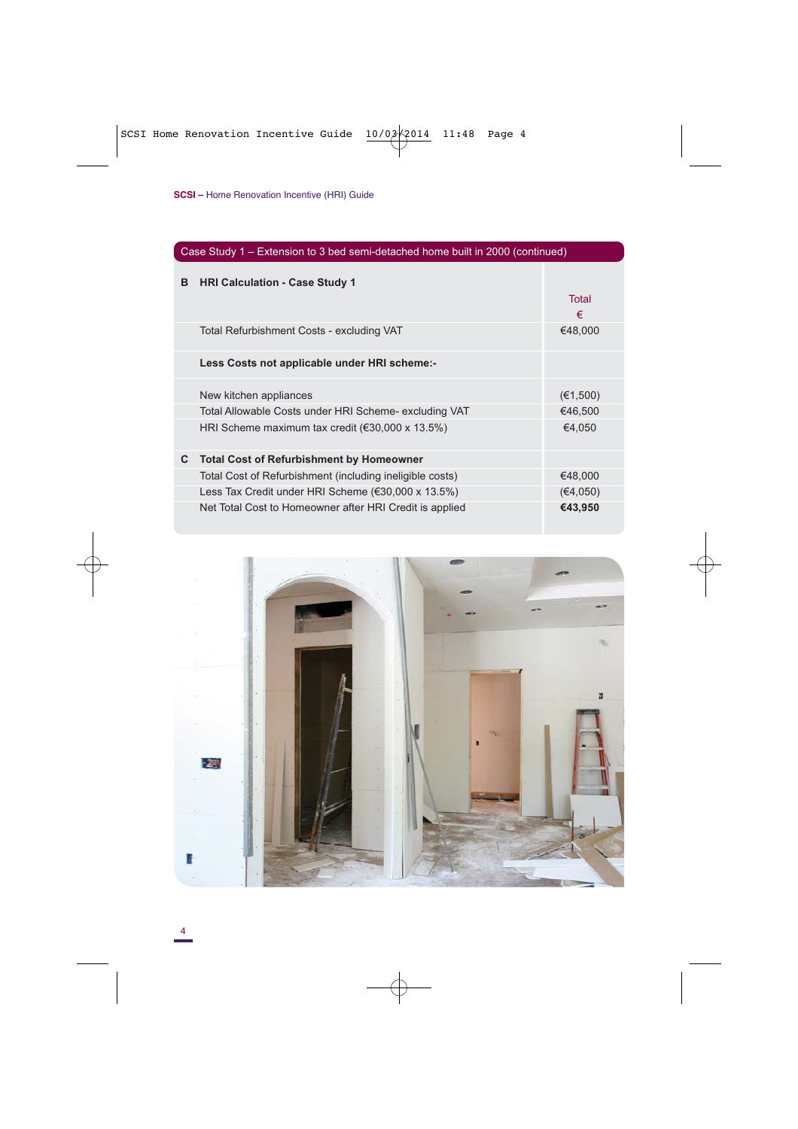| Case Study 1 – Extension to 3 bed semi-detached home built in 2000 (continued) |                                                            |            |  |
|--------------------------------------------------------------------------------|------------------------------------------------------------|------------|--|
| в                                                                              | <b>HRI Calculation - Case Study 1</b>                      | Total<br>€ |  |
|                                                                                | Total Refurbishment Costs - excluding VAT                  | €48,000    |  |
|                                                                                | Less Costs not applicable under HRI scheme:-               |            |  |
|                                                                                | New kitchen appliances                                     | (€1,500)   |  |
|                                                                                | Total Allowable Costs under HRI Scheme- excluding VAT      | €46,500    |  |
|                                                                                | HRI Scheme maximum tax credit ( $\epsilon$ 30,000 x 13.5%) | €4,050     |  |
| C                                                                              | <b>Total Cost of Refurbishment by Homeowner</b>            |            |  |
|                                                                                | Total Cost of Refurbishment (including ineligible costs)   | €48,000    |  |
|                                                                                | Less Tax Credit under HRI Scheme (€30,000 x 13.5%)         | (€4,050)   |  |
|                                                                                | Net Total Cost to Homeowner after HRI Credit is applied    | €43,950    |  |

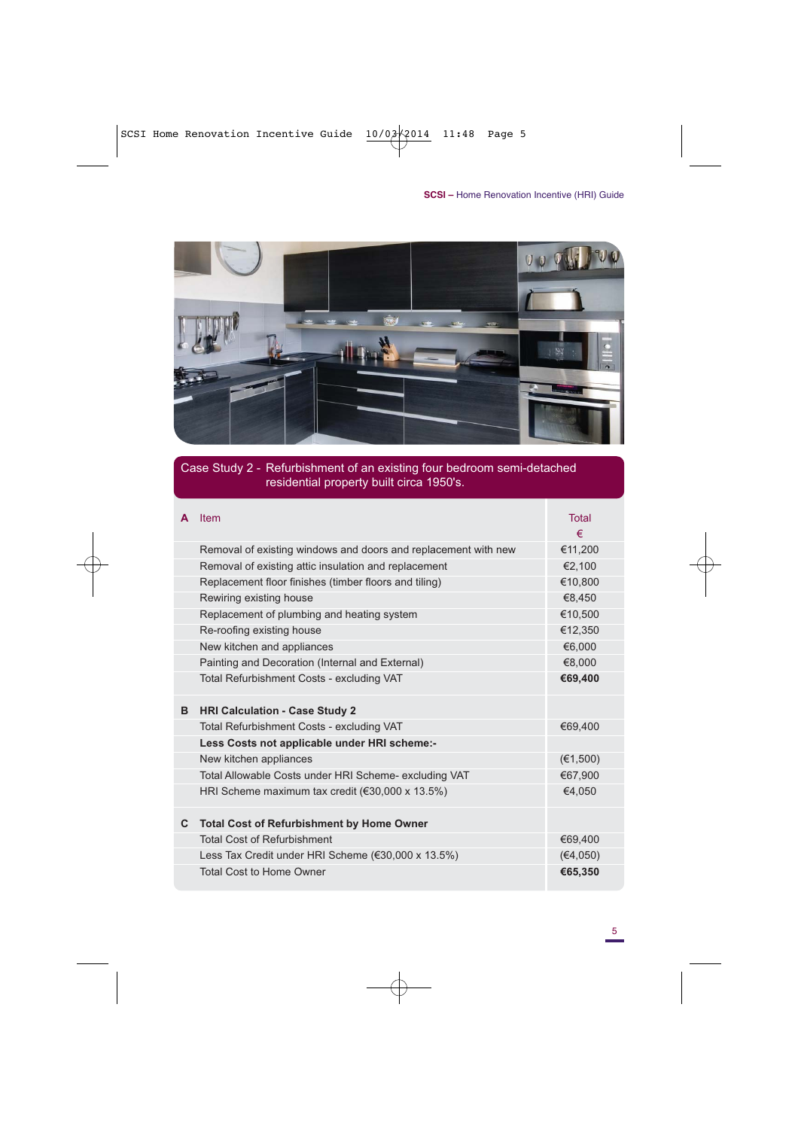

#### Case Study 2 - Refurbishment of an existing four bedroom semi-detached residential property built circa 1950's.

| A  | Item                                                           | <b>Total</b> |
|----|----------------------------------------------------------------|--------------|
|    |                                                                | €            |
|    | Removal of existing windows and doors and replacement with new | €11.200      |
|    | Removal of existing attic insulation and replacement           | €2.100       |
|    | Replacement floor finishes (timber floors and tiling)          | €10,800      |
|    | Rewiring existing house                                        | €8,450       |
|    | Replacement of plumbing and heating system                     | €10,500      |
|    | Re-roofing existing house                                      | €12.350      |
|    | New kitchen and appliances                                     | €6.000       |
|    | Painting and Decoration (Internal and External)                | €8,000       |
|    | Total Refurbishment Costs - excluding VAT                      | €69,400      |
| в  | <b>HRI Calculation - Case Study 2</b>                          |              |
|    | Total Refurbishment Costs - excluding VAT                      | €69,400      |
|    | Less Costs not applicable under HRI scheme:-                   |              |
|    | New kitchen appliances                                         | (E1,500)     |
|    | Total Allowable Costs under HRI Scheme- excluding VAT          | €67,900      |
|    | HRI Scheme maximum tax credit ( $\epsilon$ 30,000 x 13.5%)     | €4,050       |
| C. | <b>Total Cost of Refurbishment by Home Owner</b>               |              |
|    | <b>Total Cost of Refurbishment</b>                             | €69,400      |
|    | Less Tax Credit under HRI Scheme (€30,000 x 13.5%)             | (€4,050)     |
|    | <b>Total Cost to Home Owner</b>                                | €65,350      |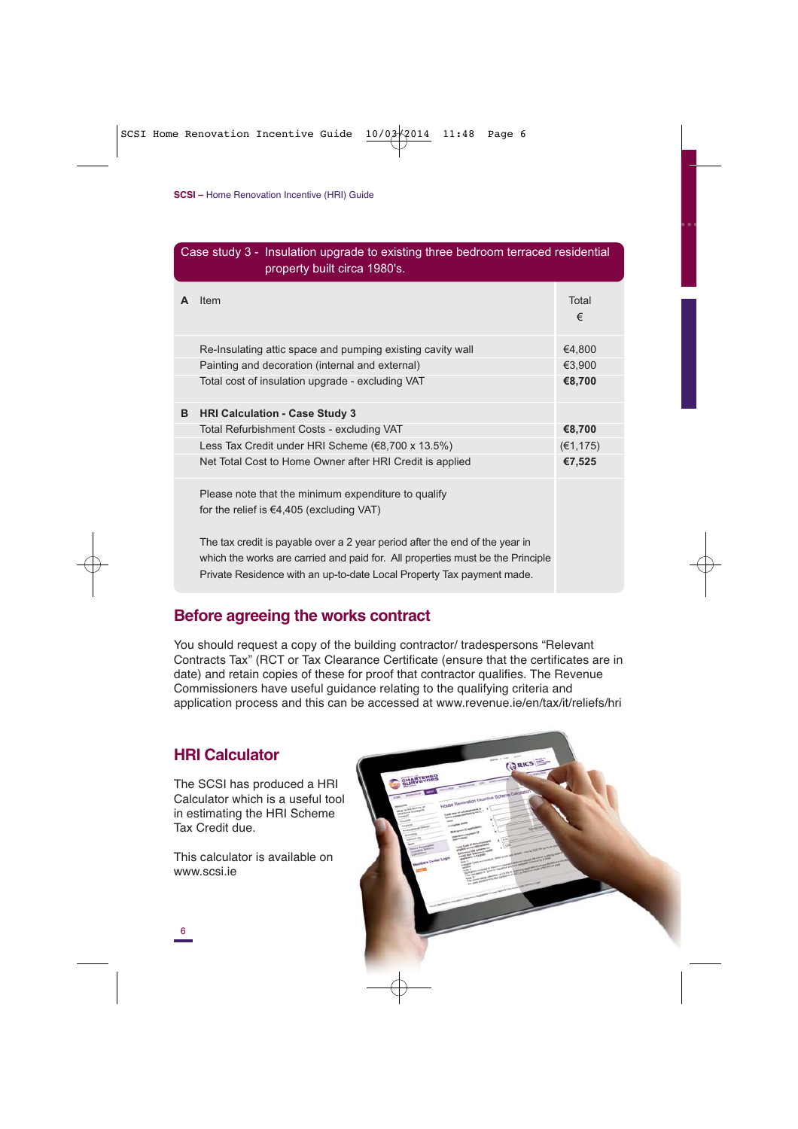| Case study 3 - Insulation upgrade to existing three bedroom terraced residential<br>property built circa 1980's. |                                                                                                                                                                                                                                        |            |  |  |
|------------------------------------------------------------------------------------------------------------------|----------------------------------------------------------------------------------------------------------------------------------------------------------------------------------------------------------------------------------------|------------|--|--|
| A                                                                                                                | Item                                                                                                                                                                                                                                   | Total<br>€ |  |  |
|                                                                                                                  | Re-Insulating attic space and pumping existing cavity wall                                                                                                                                                                             | €4,800     |  |  |
|                                                                                                                  | Painting and decoration (internal and external)                                                                                                                                                                                        | €3.900     |  |  |
|                                                                                                                  | Total cost of insulation upgrade - excluding VAT                                                                                                                                                                                       | €8,700     |  |  |
| в                                                                                                                | <b>HRI Calculation - Case Study 3</b>                                                                                                                                                                                                  |            |  |  |
|                                                                                                                  | Total Refurbishment Costs - excluding VAT                                                                                                                                                                                              | €8,700     |  |  |
|                                                                                                                  | Less Tax Credit under HRI Scheme (€8,700 x 13.5%)                                                                                                                                                                                      | (€1, 175)  |  |  |
|                                                                                                                  | Net Total Cost to Home Owner after HRI Credit is applied                                                                                                                                                                               | €7,525     |  |  |
|                                                                                                                  | Please note that the minimum expenditure to qualify                                                                                                                                                                                    |            |  |  |
|                                                                                                                  | for the relief is $\epsilon$ 4,405 (excluding VAT)                                                                                                                                                                                     |            |  |  |
|                                                                                                                  | The tax credit is payable over a 2 year period after the end of the year in<br>which the works are carried and paid for. All properties must be the Principle<br>Private Residence with an up-to-date Local Property Tax payment made. |            |  |  |

#### **Before agreeing the works contract**

You should request a copy of the building contractor/ tradespersons "Relevant Contracts Tax" (RCT or Tax Clearance Certificate (ensure that the certificates are in date) and retain copies of these for proof that contractor qualifies. The Revenue Commissioners have useful guidance relating to the qualifying criteria and application process and this can be accessed at www.revenue.ie/en/tax/it/reliefs/hri

#### **HRI Calculator**

The SCSI has produced a HRI Calculator which is a useful tool in estimating the HRI Scheme Tax Credit due.

This calculator is available on www.scsi.ie

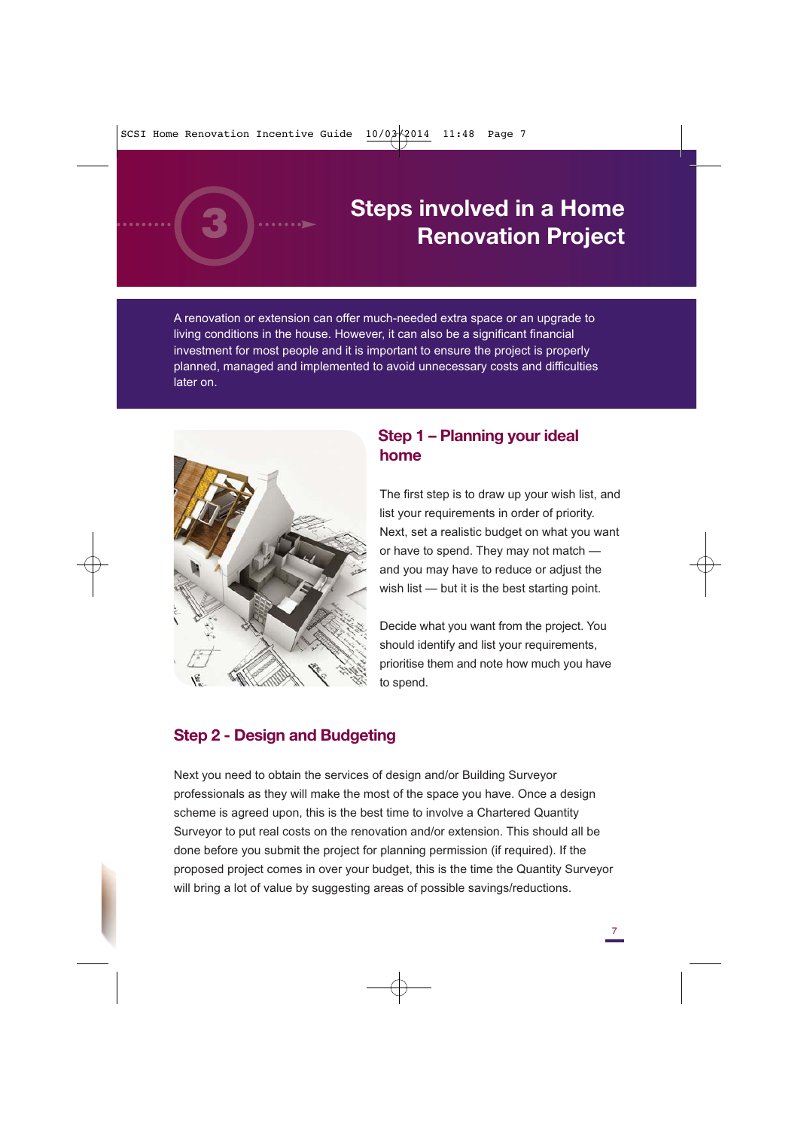

# **Steps involved in a Home Renovation Project**

A renovation or extension can offer much-needed extra space or an upgrade to living conditions in the house. However, it can also be a significant financial investment for most people and it is important to ensure the project is properly planned, managed and implemented to avoid unnecessary costs and difficulties later on.



#### **Step 1 – Planning your ideal home**

The first step is to draw up your wish list, and list your requirements in order of priority. Next, set a realistic budget on what you want or have to spend. They may not match and you may have to reduce or adjust the wish list — but it is the best starting point.

Decide what you want from the project. You should identify and list your requirements, prioritise them and note how much you have to spend.

#### **Step 2 - Design and Budgeting**

Next you need to obtain the services of design and/or Building Surveyor professionals as they will make the most of the space you have. Once a design scheme is agreed upon, this is the best time to involve a Chartered Quantity Surveyor to put real costs on the renovation and/or extension. This should all be done before you submit the project for planning permission (if required). If the proposed project comes in over your budget, this is the time the Quantity Surveyor will bring a lot of value by suggesting areas of possible savings/reductions.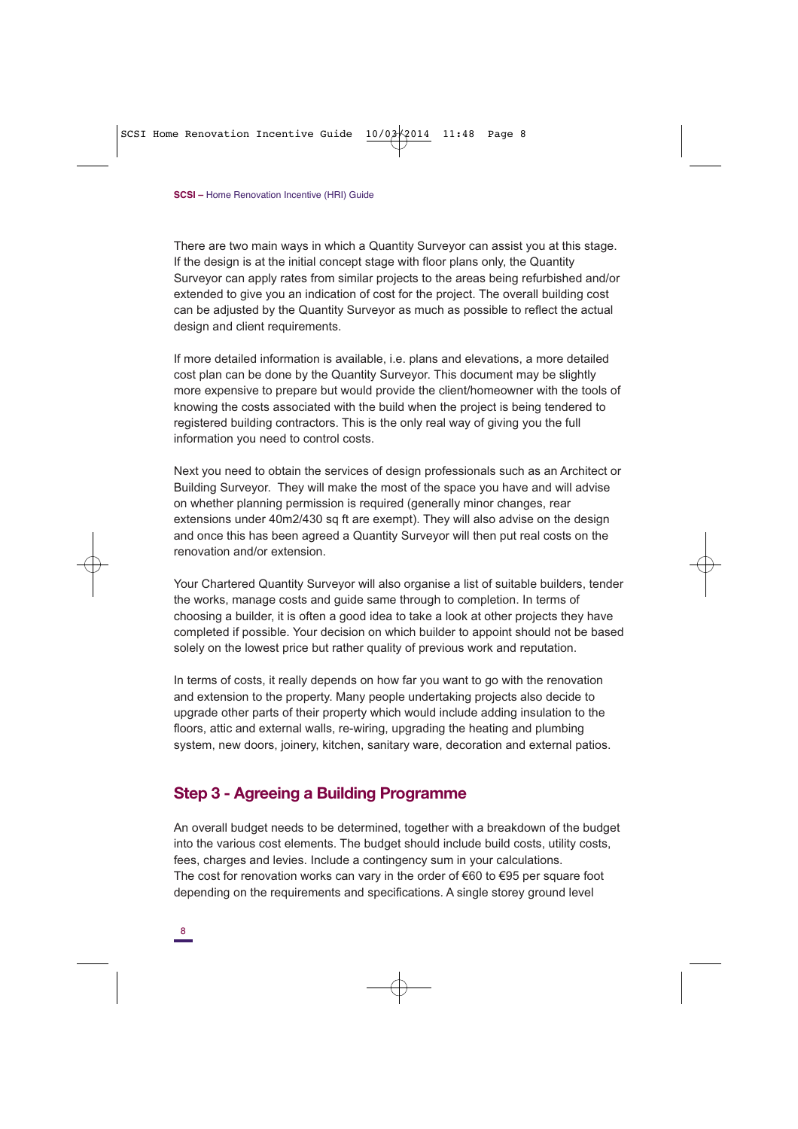There are two main ways in which a Quantity Surveyor can assist you at this stage. If the design is at the initial concept stage with floor plans only, the Quantity Surveyor can apply rates from similar projects to the areas being refurbished and/or extended to give you an indication of cost for the project. The overall building cost can be adjusted by the Quantity Surveyor as much as possible to reflect the actual design and client requirements.

If more detailed information is available, i.e. plans and elevations, a more detailed cost plan can be done by the Quantity Surveyor. This document may be slightly more expensive to prepare but would provide the client/homeowner with the tools of knowing the costs associated with the build when the project is being tendered to registered building contractors. This is the only real way of giving you the full information you need to control costs.

Next you need to obtain the services of design professionals such as an Architect or Building Surveyor. They will make the most of the space you have and will advise on whether planning permission is required (generally minor changes, rear extensions under 40m2/430 sq ft are exempt). They will also advise on the design and once this has been agreed a Quantity Surveyor will then put real costs on the renovation and/or extension.

Your Chartered Quantity Surveyor will also organise a list of suitable builders, tender the works, manage costs and guide same through to completion. In terms of choosing a builder, it is often a good idea to take a look at other projects they have completed if possible. Your decision on which builder to appoint should not be based solely on the lowest price but rather quality of previous work and reputation.

In terms of costs, it really depends on how far you want to go with the renovation and extension to the property. Many people undertaking projects also decide to upgrade other parts of their property which would include adding insulation to the floors, attic and external walls, re-wiring, upgrading the heating and plumbing system, new doors, joinery, kitchen, sanitary ware, decoration and external patios.

#### **Step 3 - Agreeing a Building Programme**

An overall budget needs to be determined, together with a breakdown of the budget into the various cost elements. The budget should include build costs, utility costs, fees, charges and levies. Include a contingency sum in your calculations. The cost for renovation works can vary in the order of  $\epsilon$ 60 to  $\epsilon$ 95 per square foot depending on the requirements and specifications. A single storey ground level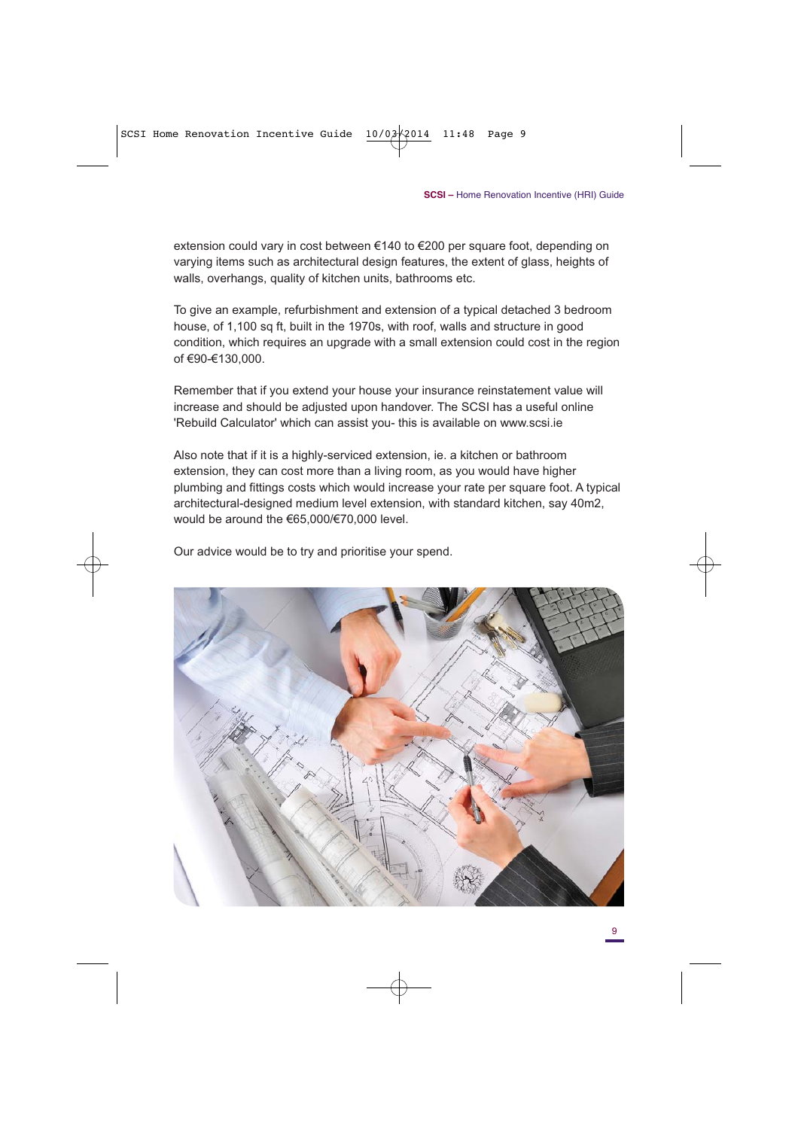extension could vary in cost between €140 to €200 per square foot, depending on varying items such as architectural design features, the extent of glass, heights of walls, overhangs, quality of kitchen units, bathrooms etc.

To give an example, refurbishment and extension of a typical detached 3 bedroom house, of 1,100 sq ft, built in the 1970s, with roof, walls and structure in good condition, which requires an upgrade with a small extension could cost in the region of €90-€130,000.

Remember that if you extend your house your insurance reinstatement value will increase and should be adjusted upon handover. The SCSI has a useful online 'Rebuild Calculator' which can assist you- this is available on www.scsi.ie

Also note that if it is a highly-serviced extension, ie. a kitchen or bathroom extension, they can cost more than a living room, as you would have higher plumbing and fittings costs which would increase your rate per square foot. A typical architectural-designed medium level extension, with standard kitchen, say 40m2, would be around the €65,000/€70,000 level.

Our advice would be to try and prioritise your spend.

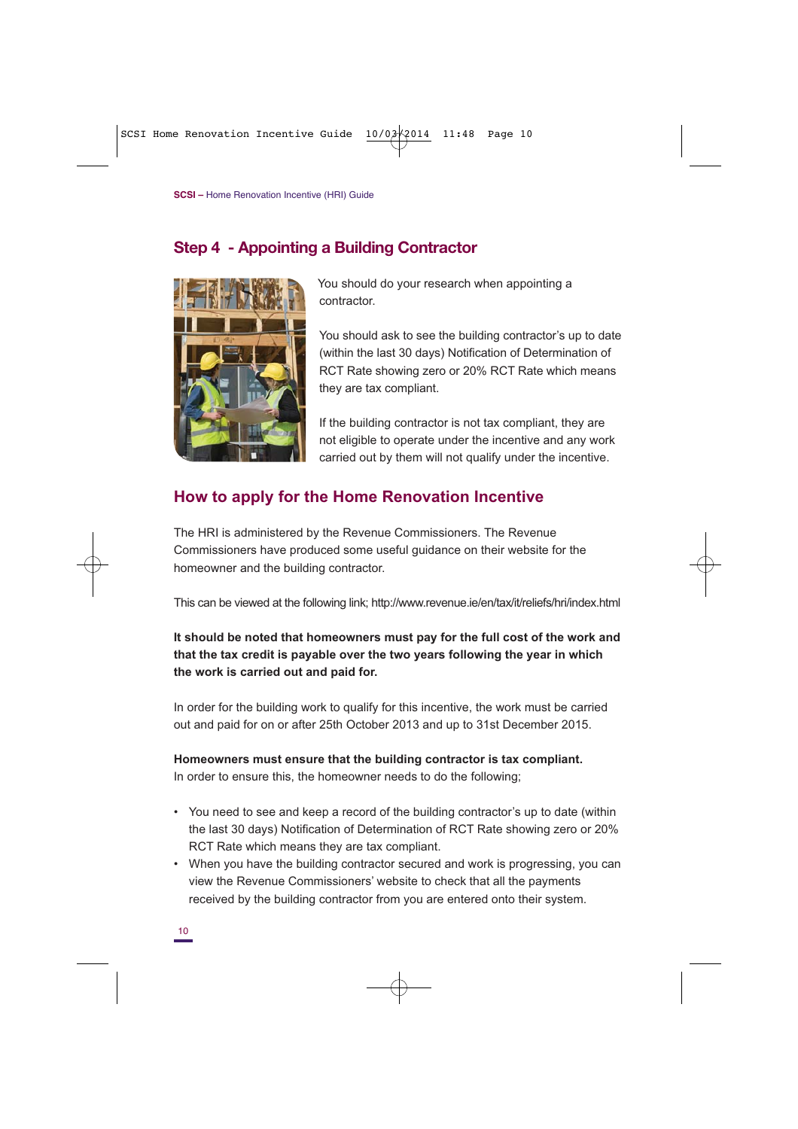#### **Step 4 - Appointing a Building Contractor**



You should do your research when appointing a contractor.

You should ask to see the building contractor's up to date (within the last 30 days) Notification of Determination of RCT Rate showing zero or 20% RCT Rate which means they are tax compliant.

If the building contractor is not tax compliant, they are not eligible to operate under the incentive and any work carried out by them will not qualify under the incentive.

#### **How to apply for the Home Renovation Incentive**

The HRI is administered by the Revenue Commissioners. The Revenue Commissioners have produced some useful guidance on their website for the homeowner and the building contractor.

This can be viewed at the following link; http://www.revenue.ie/en/tax/it/reliefs/hri/index.html

#### **It should be noted that homeowners must pay for the full cost of the work and that the tax credit is payable over the two years following the year in which the work is carried out and paid for.**

In order for the building work to qualify for this incentive, the work must be carried out and paid for on or after 25th October 2013 and up to 31st December 2015.

## **Homeowners must ensure that the building contractor is tax compliant.**

In order to ensure this, the homeowner needs to do the following;

- You need to see and keep a record of the building contractor's up to date (within the last 30 days) Notification of Determination of RCT Rate showing zero or 20% RCT Rate which means they are tax compliant.
- When you have the building contractor secured and work is progressing, you can view the Revenue Commissioners' website to check that all the payments received by the building contractor from you are entered onto their system.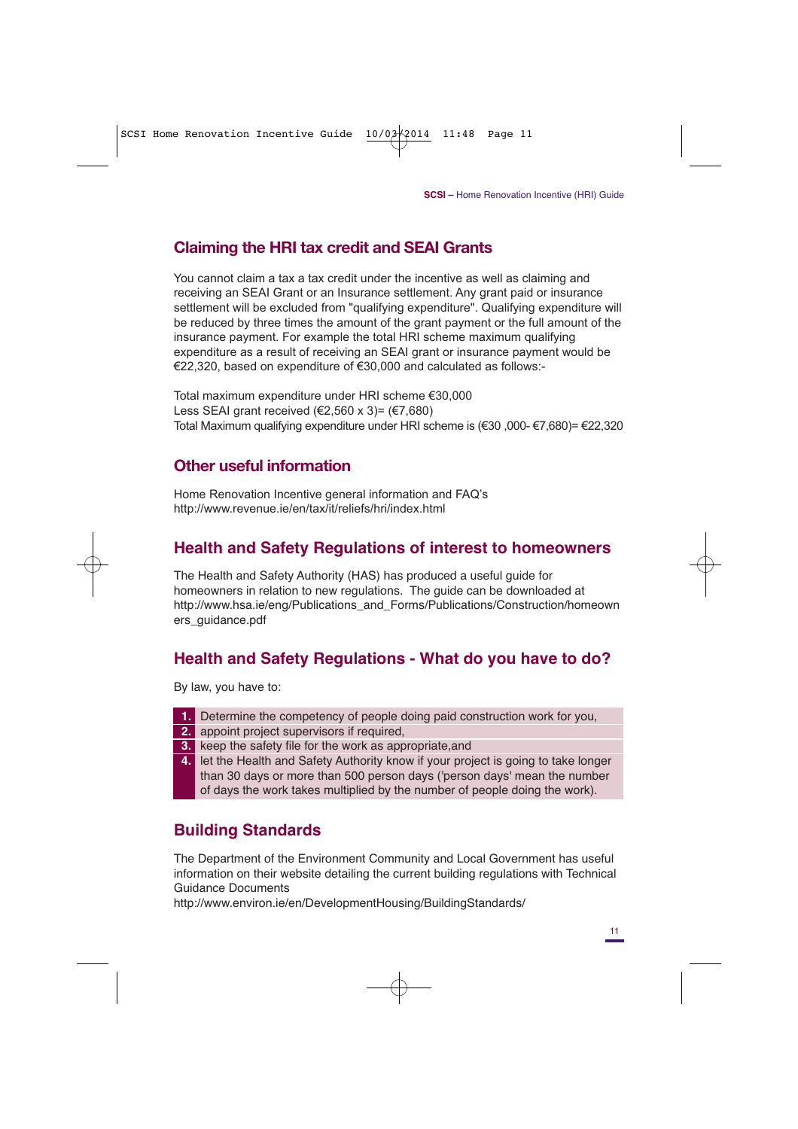#### **Claiming the HRI tax credit and SEAI Grants**

You cannot claim a tax a tax credit under the incentive as well as claiming and receiving an SEAI Grant or an Insurance settlement. Any grant paid or insurance settlement will be excluded from "qualifying expenditure". Qualifying expenditure will be reduced by three times the amount of the grant payment or the full amount of the insurance payment. For example the total HRI scheme maximum qualifying expenditure as a result of receiving an SEAI grant or insurance payment would be €22,320, based on expenditure of €30,000 and calculated as follows:-

Total maximum expenditure under HRI scheme €30,000 Less SEAI grant received (€2,560 x 3)= (€7,680) Total Maximum qualifying expenditure under HRI scheme is (€30 ,000- €7,680)= €22,320

#### **Other useful information**

Home Renovation Incentive general information and FAQ's http://www.revenue.ie/en/tax/it/reliefs/hri/index.html

### **Health and Safety Regulations of interest to homeowners**

The Health and Safety Authority (HAS) has produced a useful guide for homeowners in relation to new regulations. The guide can be downloaded at http://www.hsa.ie/eng/Publications\_and\_Forms/Publications/Construction/homeown ers\_guidance.pdf

## **Health and Safety Regulations - What do you have to do?**

By law, you have to:

- **1.** Determine the competency of people doing paid construction work for you,
- **2.** appoint project supervisors if required,
- **3.** keep the safety file for the work as appropriate,and
- **4.** let the Health and Safety Authority know if your project is going to take longer than 30 days or more than 500 person days ('person days' mean the number of days the work takes multiplied by the number of people doing the work).

## **Building Standards**

The Department of the Environment Community and Local Government has useful information on their website detailing the current building regulations with Technical Guidance Documents

http://www.environ.ie/en/DevelopmentHousing/BuildingStandards/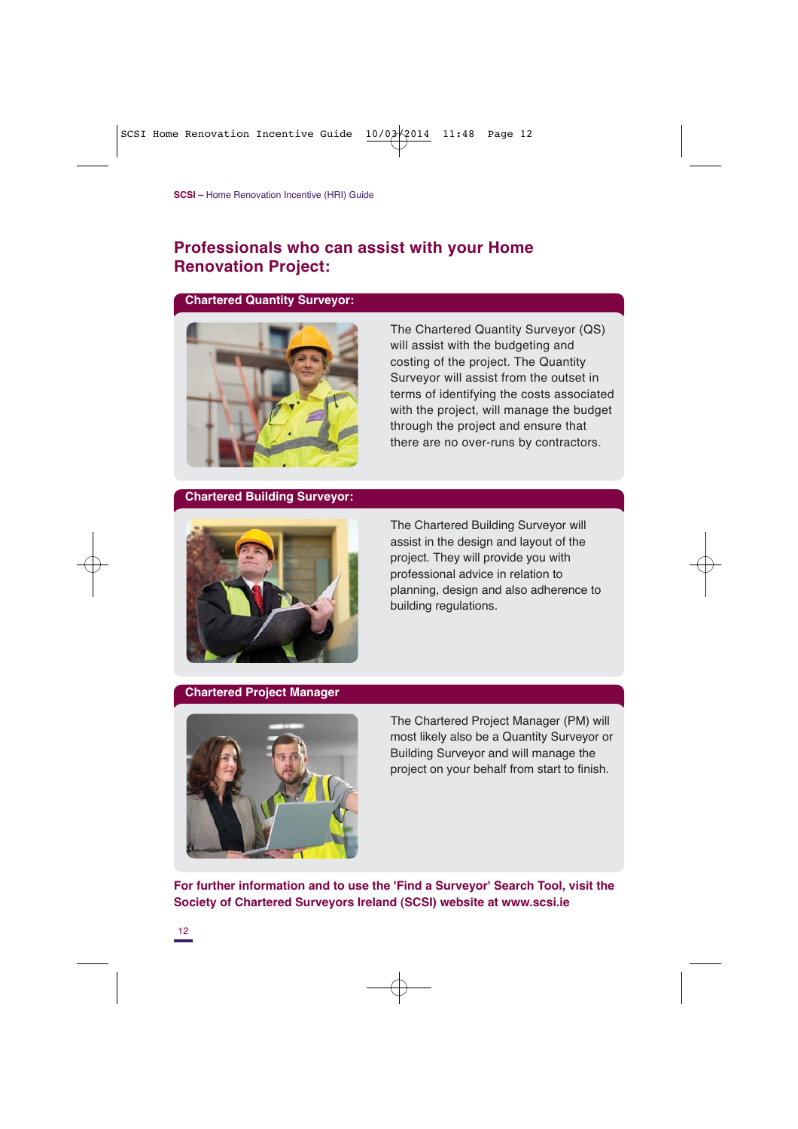#### **Professionals who can assist with your Home Renovation Project:**

#### **Chartered Quantity Surveyor:**



The Chartered Quantity Surveyor (QS) will assist with the budgeting and costing of the project. The Quantity Surveyor will assist from the outset in terms of identifying the costs associated with the project, will manage the budget through the project and ensure that there are no over-runs by contractors.

#### **Chartered Building Surveyor:**



The Chartered Building Surveyor will assist in the design and layout of the project. They will provide you with professional advice in relation to planning, design and also adherence to building regulations.

#### **Chartered Project Manager**



The Chartered Project Manager (PM) will most likely also be a Quantity Surveyor or Building Surveyor and will manage the project on your behalf from start to finish.

**For further information and to use the 'Find a Surveyor' Search Tool, visit the Society of Chartered Surveyors Ireland (SCSI) website at www.scsi.ie**